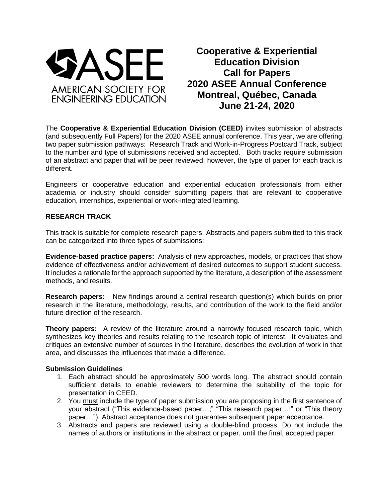

**Cooperative & Experiential Education Division Call for Papers 2020 ASEE Annual Conference Montreal, Québec, Canada June 21-24, 2020**

The **Cooperative & Experiential Education Division (CEED)** invites submission of abstracts (and subsequently Full Papers) for the 2020 ASEE annual conference. This year, we are offering two paper submission pathways: Research Track and Work-in-Progress Postcard Track, subject to the number and type of submissions received and accepted. Both tracks require submission of an abstract and paper that will be peer reviewed; however, the type of paper for each track is different.

Engineers or cooperative education and experiential education professionals from either academia or industry should consider submitting papers that are relevant to cooperative education, internships, experiential or work-integrated learning.

### **RESEARCH TRACK**

This track is suitable for complete research papers. Abstracts and papers submitted to this track can be categorized into three types of submissions:

**Evidence-based practice papers:** Analysis of new approaches, models, or practices that show evidence of effectiveness and/or achievement of desired outcomes to support student success. It includes a rationale for the approach supported by the literature, a description of the assessment methods, and results.

**Research papers:** New findings around a central research question(s) which builds on prior research in the literature, methodology, results, and contribution of the work to the field and/or future direction of the research.

**Theory papers:** A review of the literature around a narrowly focused research topic, which synthesizes key theories and results relating to the research topic of interest. It evaluates and critiques an extensive number of sources in the literature, describes the evolution of work in that area, and discusses the influences that made a difference.

#### **Submission Guidelines**

- 1. Each abstract should be approximately 500 words long. The abstract should contain sufficient details to enable reviewers to determine the suitability of the topic for presentation in CEED.
- 2. You must include the type of paper submission you are proposing in the first sentence of your abstract ("This evidence-based paper…;" "This research paper…;" or "This theory paper…"). Abstract acceptance does not guarantee subsequent paper acceptance.
- 3. Abstracts and papers are reviewed using a double-blind process. Do not include the names of authors or institutions in the abstract or paper, until the final, accepted paper.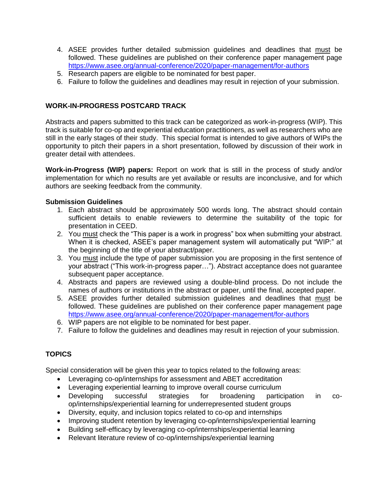- 4. ASEE provides further detailed submission guidelines and deadlines that must be followed. These guidelines are published on their conference paper management page <https://www.asee.org/annual-conference/2020/paper-management/for-authors>
- 5. Research papers are eligible to be nominated for best paper.
- 6. Failure to follow the guidelines and deadlines may result in rejection of your submission.

## **WORK-IN-PROGRESS POSTCARD TRACK**

Abstracts and papers submitted to this track can be categorized as work-in-progress (WIP). This track is suitable for co-op and experiential education practitioners, as well as researchers who are still in the early stages of their study. This special format is intended to give authors of WIPs the opportunity to pitch their papers in a short presentation, followed by discussion of their work in greater detail with attendees.

**Work-in-Progress (WIP) papers:** Report on work that is still in the process of study and/or implementation for which no results are yet available or results are inconclusive, and for which authors are seeking feedback from the community.

## **Submission Guidelines**

- 1. Each abstract should be approximately 500 words long. The abstract should contain sufficient details to enable reviewers to determine the suitability of the topic for presentation in CEED.
- 2. You must check the "This paper is a work in progress" box when submitting your abstract. When it is checked, ASEE's paper management system will automatically put "WIP:" at the beginning of the title of your abstract/paper.
- 3. You must include the type of paper submission you are proposing in the first sentence of your abstract ("This work-in-progress paper…"). Abstract acceptance does not guarantee subsequent paper acceptance.
- 4. Abstracts and papers are reviewed using a double-blind process. Do not include the names of authors or institutions in the abstract or paper, until the final, accepted paper.
- 5. ASEE provides further detailed submission guidelines and deadlines that must be followed. These guidelines are published on their conference paper management page <https://www.asee.org/annual-conference/2020/paper-management/for-authors>
- 6. WIP papers are not eligible to be nominated for best paper.
- 7. Failure to follow the guidelines and deadlines may result in rejection of your submission.

# **TOPICS**

Special consideration will be given this year to topics related to the following areas:

- Leveraging co-op/internships for assessment and ABET accreditation
- Leveraging experiential learning to improve overall course curriculum
- Developing successful strategies for broadening participation in coop/internships/experiential learning for underrepresented student groups
- Diversity, equity, and inclusion topics related to co-op and internships
- Improving student retention by leveraging co-op/internships/experiential learning
- Building self-efficacy by leveraging co-op/internships/experiential learning
- Relevant literature review of co-op/internships/experiential learning